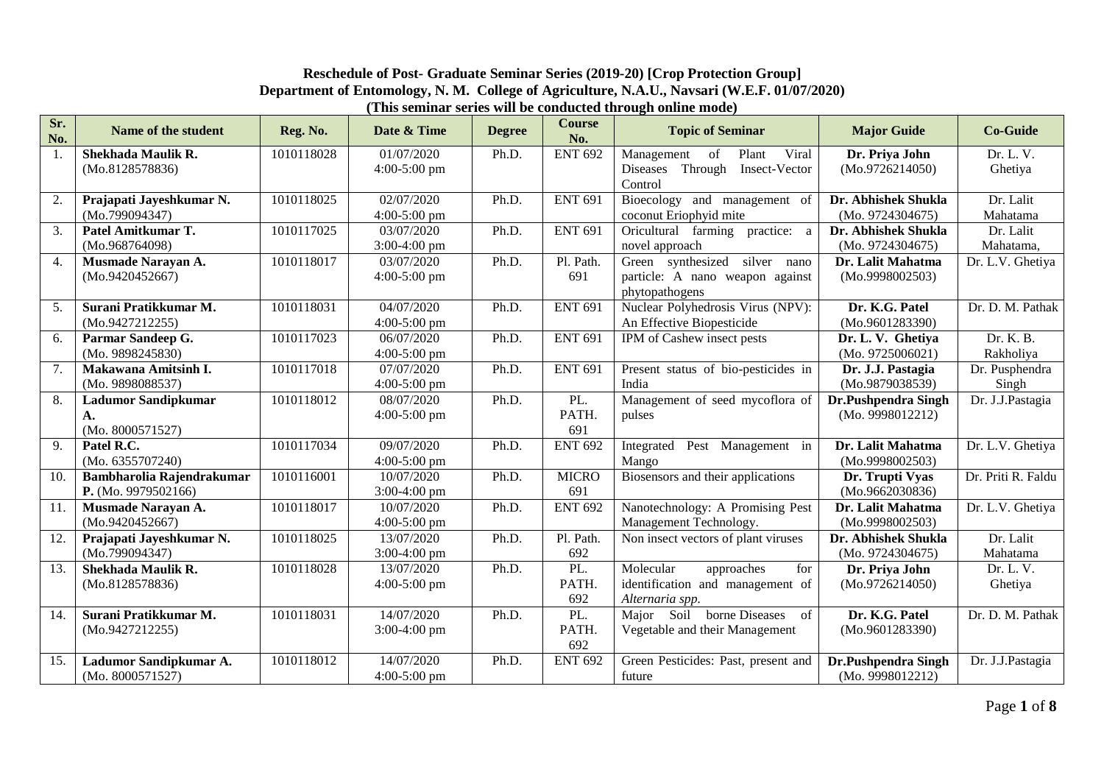#### **Reschedule of Post- Graduate Seminar Series (2019-20) [Crop Protection Group] Department of Entomology, N. M. College of Agriculture, N.A.U., Navsari (W.E.F. 01/07/2020) (This seminar series will be conducted through online mode)**

| Sr.<br>No.     | Name of the student                                  | Reg. No.   | Date & Time                  | <b>Degree</b> | <b>Course</b><br>No. | <b>Topic of Seminar</b>                                                               | <b>Major Guide</b>                      | <b>Co-Guide</b>         |
|----------------|------------------------------------------------------|------------|------------------------------|---------------|----------------------|---------------------------------------------------------------------------------------|-----------------------------------------|-------------------------|
| -1.            | Shekhada Maulik R.<br>(Mo.8128578836)                | 1010118028 | 01/07/2020<br>4:00-5:00 pm   | Ph.D.         | <b>ENT 692</b>       | Viral<br>Management<br>Plant<br>of<br>Diseases Through<br>Insect-Vector<br>Control    | Dr. Priya John<br>(Mo.9726214050)       | Dr. L. V.<br>Ghetiya    |
| 2.             | Prajapati Jayeshkumar N.<br>(Mo.799094347)           | 1010118025 | 02/07/2020<br>$4:00-5:00$ pm | Ph.D.         | <b>ENT 691</b>       | Bioecology and management of<br>coconut Eriophyid mite                                | Dr. Abhishek Shukla<br>(Mo. 9724304675) | Dr. Lalit<br>Mahatama   |
| 3.             | Patel Amitkumar T.<br>(Mo.968764098)                 | 1010117025 | 03/07/2020<br>3:00-4:00 pm   | Ph.D.         | <b>ENT 691</b>       | Oricultural farming practice: a<br>novel approach                                     | Dr. Abhishek Shukla<br>(Mo. 9724304675) | Dr. Lalit<br>Mahatama,  |
| 4.             | Musmade Narayan A.<br>(Mo.9420452667)                | 1010118017 | 03/07/2020<br>$4:00-5:00$ pm | Ph.D.         | Pl. Path.<br>691     | silver nano<br>Green synthesized<br>particle: A nano weapon against<br>phytopathogens | Dr. Lalit Mahatma<br>(Mo.9998002503)    | Dr. L.V. Ghetiya        |
| 5 <sub>1</sub> | Surani Pratikkumar M.<br>(Mo.9427212255)             | 1010118031 | 04/07/2020<br>$4:00-5:00$ pm | Ph.D.         | <b>ENT 691</b>       | Nuclear Polyhedrosis Virus (NPV):<br>An Effective Biopesticide                        | Dr. K.G. Patel<br>(Mo.9601283390)       | Dr. D. M. Pathak        |
| 6.             | Parmar Sandeep G.<br>(Mo. 9898245830)                | 1010117023 | 06/07/2020<br>$4:00-5:00$ pm | Ph.D.         | <b>ENT 691</b>       | IPM of Cashew insect pests                                                            | Dr. L. V. Ghetiya<br>(Mo. 9725006021)   | Dr. K. B.<br>Rakholiya  |
| 7.             | Makawana Amitsinh I.<br>(Mo. 9898088537)             | 1010117018 | 07/07/2020<br>$4:00-5:00$ pm | Ph.D.         | <b>ENT 691</b>       | Present status of bio-pesticides in<br>India                                          | Dr. J.J. Pastagia<br>(Mo.9879038539)    | Dr. Pusphendra<br>Singh |
| 8.             | <b>Ladumor Sandipkumar</b><br>A.<br>(Mo. 8000571527) | 1010118012 | 08/07/2020<br>4:00-5:00 pm   | Ph.D.         | PL.<br>PATH.<br>691  | Management of seed mycoflora of<br>pulses                                             | Dr.Pushpendra Singh<br>(Mo. 9998012212) | Dr. J.J.Pastagia        |
| 9.             | Patel R.C.<br>(Mo. 6355707240)                       | 1010117034 | 09/07/2020<br>$4:00-5:00$ pm | Ph.D.         | <b>ENT 692</b>       | Integrated Pest Management in<br>Mango                                                | Dr. Lalit Mahatma<br>(Mo.9998002503)    | Dr. L.V. Ghetiya        |
| 10.            | Bambharolia Rajendrakumar<br>P. (Mo. 9979502166)     | 1010116001 | 10/07/2020<br>$3:00-4:00$ pm | Ph.D.         | <b>MICRO</b><br>691  | Biosensors and their applications                                                     | Dr. Trupti Vyas<br>(Mo.9662030836)      | Dr. Priti R. Faldu      |
| 11.            | Musmade Narayan A.<br>(Mo.9420452667)                | 1010118017 | 10/07/2020<br>4:00-5:00 pm   | Ph.D.         | <b>ENT 692</b>       | Nanotechnology: A Promising Pest<br>Management Technology.                            | Dr. Lalit Mahatma<br>(Mo.9998002503)    | Dr. L.V. Ghetiya        |
| 12.            | Prajapati Jayeshkumar N.<br>(Mo.799094347)           | 1010118025 | 13/07/2020<br>$3:00-4:00$ pm | Ph.D.         | Pl. Path.<br>692     | Non insect vectors of plant viruses                                                   | Dr. Abhishek Shukla<br>(Mo. 9724304675) | Dr. Lalit<br>Mahatama   |
| 13.            | <b>Shekhada Maulik R.</b><br>(Mo.8128578836)         | 1010118028 | 13/07/2020<br>$4:00-5:00$ pm | Ph.D.         | PL.<br>PATH.<br>692  | Molecular<br>approaches<br>for<br>identification and management of<br>Alternaria spp. | Dr. Priya John<br>(Mo.9726214050)       | Dr. L. V.<br>Ghetiya    |
| 14.            | Surani Pratikkumar M.<br>(Mo.9427212255)             | 1010118031 | 14/07/2020<br>$3:00-4:00$ pm | Ph.D.         | PL.<br>PATH.<br>692  | Major Soil borne Diseases<br>of<br>Vegetable and their Management                     | Dr. K.G. Patel<br>(Mo.9601283390)       | Dr. D. M. Pathak        |
| 15.            | Ladumor Sandipkumar A.<br>(Mo. 8000571527)           | 1010118012 | 14/07/2020<br>$4:00-5:00$ pm | Ph.D.         | <b>ENT 692</b>       | Green Pesticides: Past, present and<br>future                                         | Dr.Pushpendra Singh<br>(Mo. 9998012212) | Dr. J.J.Pastagia        |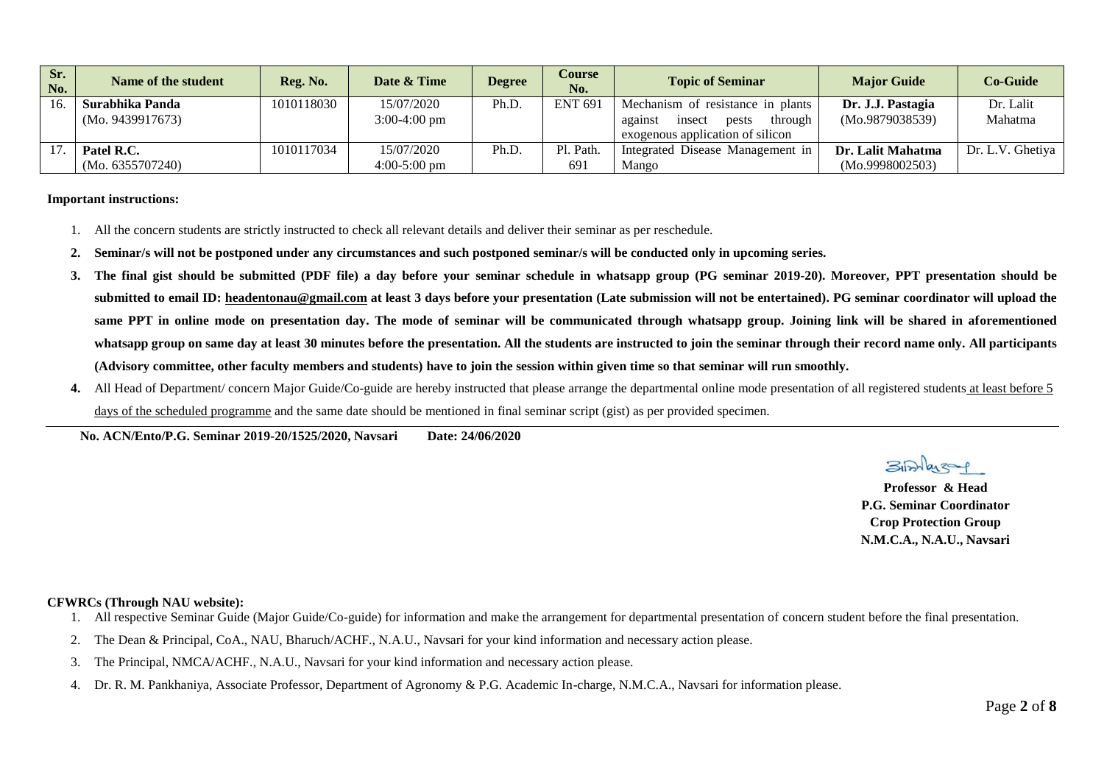| Sr.<br>No. | Name of the student | Reg. No.   | Date & Time    | <b>Degree</b> | <b>Course</b><br>No. | <b>Topic of Seminar</b>               | <b>Major Guide</b> | Co-Guide         |
|------------|---------------------|------------|----------------|---------------|----------------------|---------------------------------------|--------------------|------------------|
| 16.        | Surabhika Panda     | 1010118030 | 15/07/2020     | Ph.D.         | <b>ENT 691</b>       | Mechanism of resistance in plants     | Dr. J.J. Pastagia  | Dr. Lalit        |
|            | (Mo. 9439917673)    |            | $3:00-4:00$ pm |               |                      | through<br>against<br>insect<br>pests | (Mo.9879038539)    | Mahatma          |
|            |                     |            |                |               |                      | exogenous application of silicon      |                    |                  |
|            | Patel R.C.          | 1010117034 | 15/07/2020     | Ph.D.         | Pl. Path.            | Integrated Disease Management in      | Dr. Lalit Mahatma  | Dr. L.V. Ghetiya |
|            | (Mo. 6355707240)    |            | $4:00-5:00$ pm |               | 691                  | Mango                                 | (Mo.9998002503)    |                  |

#### **Important instructions:**

- 1. All the concern students are strictly instructed to check all relevant details and deliver their seminar as per reschedule.
- **2. Seminar/s will not be postponed under any circumstances and such postponed seminar/s will be conducted only in upcoming series.**
- **3. The final gist should be submitted (PDF file) a day before your seminar schedule in whatsapp group (PG seminar 2019-20). Moreover, PPT presentation should be submitted to email ID: [headentonau@gmail.com](mailto:headentonau@gmail.com) at least 3 days before your presentation (Late submission will not be entertained). PG seminar coordinator will upload the same PPT in online mode on presentation day. The mode of seminar will be communicated through whatsapp group. Joining link will be shared in aforementioned**  whatsapp group on same day at least 30 minutes before the presentation. All the students are instructed to join the seminar through their record name only. All participants **(Advisory committee, other faculty members and students) have to join the session within given time so that seminar will run smoothly.**
- **4.** All Head of Department/ concern Major Guide/Co-guide are hereby instructed that please arrange the departmental online mode presentation of all registered students at least before 5 days of the scheduled programme and the same date should be mentioned in final seminar script (gist) as per provided specimen.

 **No. ACN/Ento/P.G. Seminar 2019-20/1525/2020, Navsari Date: 24/06/2020**

**Professor & Head P.G. Seminar Coordinator Crop Protection Group N.M.C.A., N.A.U., Navsari** 

#### **CFWRCs (Through NAU website):**

- 1. All respective Seminar Guide (Major Guide/Co-guide) for information and make the arrangement for departmental presentation of concern student before the final presentation.
- 2. The Dean & Principal, CoA., NAU, Bharuch/ACHF., N.A.U., Navsari for your kind information and necessary action please.
- 3. The Principal, NMCA/ACHF., N.A.U., Navsari for your kind information and necessary action please.
- 4. Dr. R. M. Pankhaniya, Associate Professor, Department of Agronomy & P.G. Academic In-charge, N.M.C.A., Navsari for information please.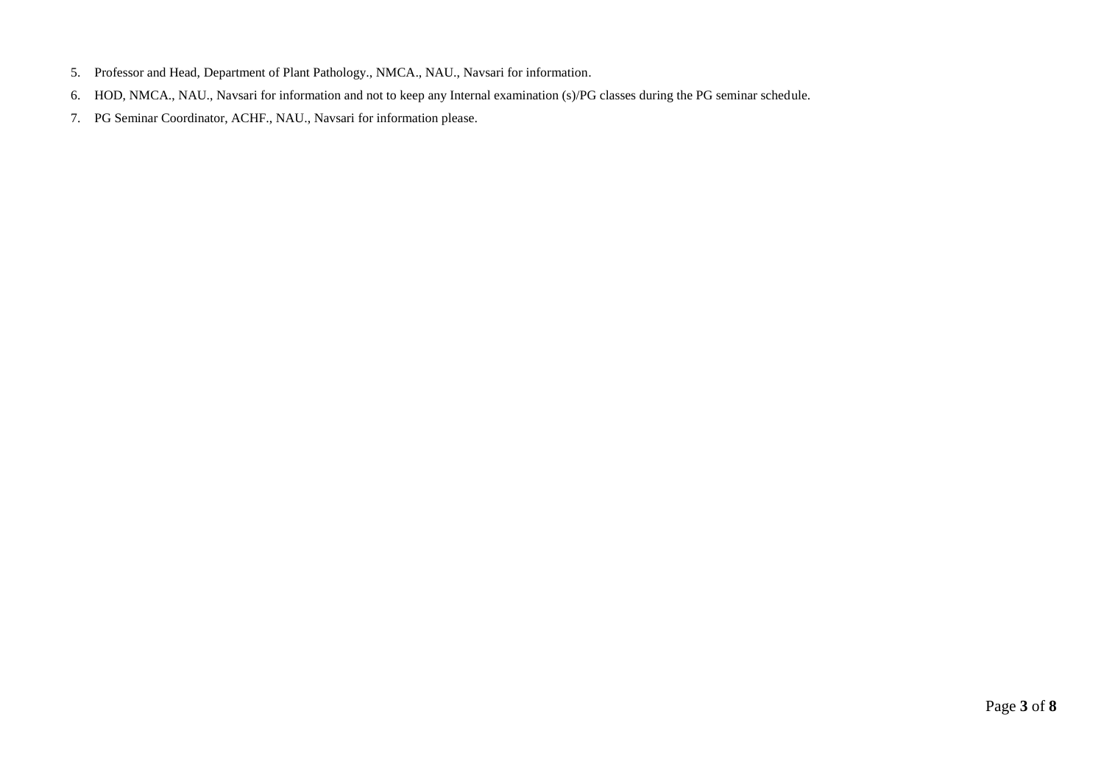- 5. Professor and Head, Department of Plant Pathology., NMCA., NAU., Navsari for information.
- 6. HOD, NMCA., NAU., Navsari for information and not to keep any Internal examination (s)/PG classes during the PG seminar schedule.
- 7. PG Seminar Coordinator, ACHF., NAU., Navsari for information please.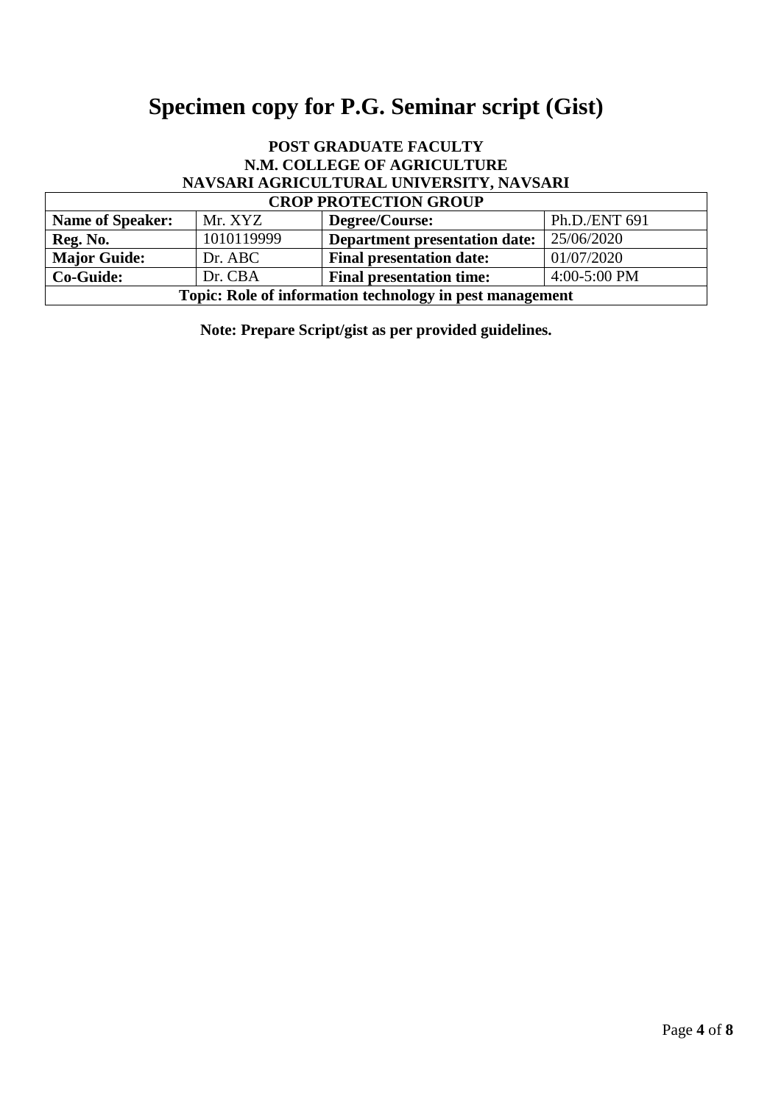# **Specimen copy for P.G. Seminar script (Gist)**

# **POST GRADUATE FACULTY N.M. COLLEGE OF AGRICULTURE NAVSARI AGRICULTURAL UNIVERSITY, NAVSARI**

 $\overline{1}$ 

| <b>CROP PROTECTION GROUP</b>                                                     |            |                                      |               |  |  |  |  |
|----------------------------------------------------------------------------------|------------|--------------------------------------|---------------|--|--|--|--|
| <b>Name of Speaker:</b>                                                          | Mr. XYZ    | Degree/Course:                       | Ph.D./ENT 691 |  |  |  |  |
| Reg. No.                                                                         | 1010119999 | <b>Department presentation date:</b> | 25/06/2020    |  |  |  |  |
| <b>Major Guide:</b>                                                              | Dr. ABC    | <b>Final presentation date:</b>      | 01/07/2020    |  |  |  |  |
| $4:00-5:00$ PM<br>Dr. CBA<br><b>Co-Guide:</b><br><b>Final presentation time:</b> |            |                                      |               |  |  |  |  |
| Topic: Role of information technology in pest management                         |            |                                      |               |  |  |  |  |

**Note: Prepare Script/gist as per provided guidelines.**

٦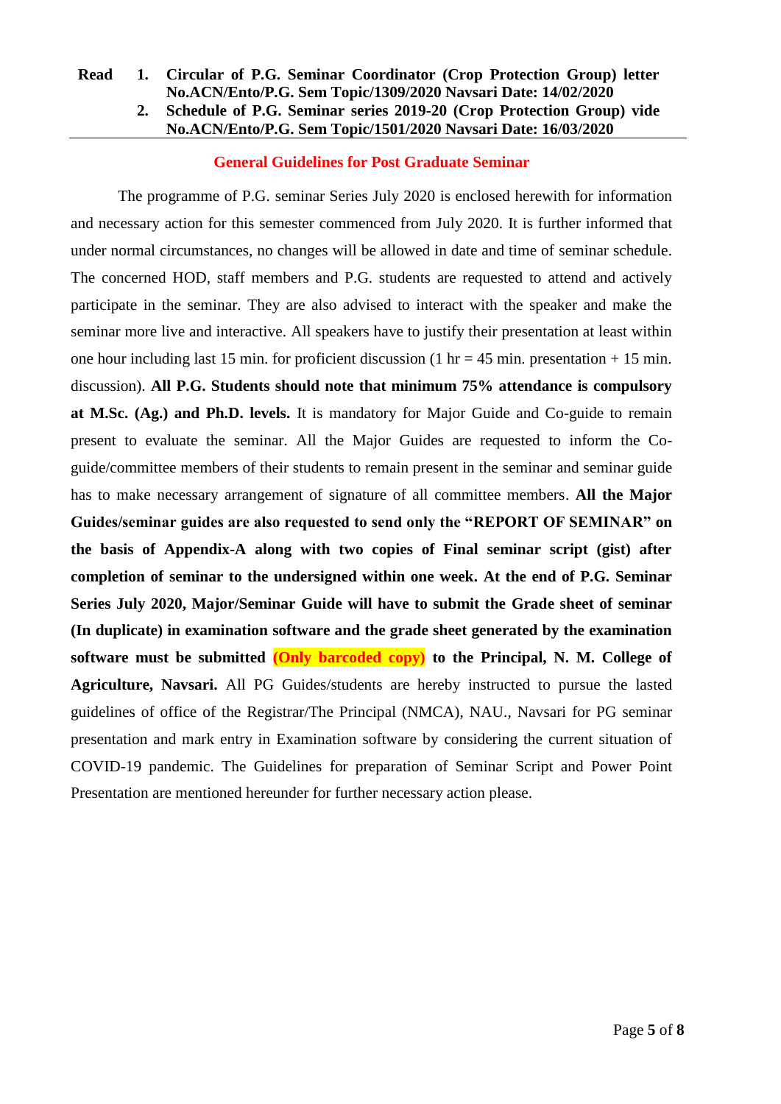### **Read 1. Circular of P.G. Seminar Coordinator (Crop Protection Group) letter No.ACN/Ento/P.G. Sem Topic/1309/2020 Navsari Date: 14/02/2020**

## **2. Schedule of P.G. Seminar series 2019-20 (Crop Protection Group) vide No.ACN/Ento/P.G. Sem Topic/1501/2020 Navsari Date: 16/03/2020**

#### **General Guidelines for Post Graduate Seminar**

The programme of P.G. seminar Series July 2020 is enclosed herewith for information and necessary action for this semester commenced from July 2020. It is further informed that under normal circumstances, no changes will be allowed in date and time of seminar schedule. The concerned HOD, staff members and P.G. students are requested to attend and actively participate in the seminar. They are also advised to interact with the speaker and make the seminar more live and interactive. All speakers have to justify their presentation at least within one hour including last 15 min. for proficient discussion (1 hr = 45 min. presentation + 15 min. discussion). **All P.G. Students should note that minimum 75% attendance is compulsory at M.Sc. (Ag.) and Ph.D. levels.** It is mandatory for Major Guide and Co-guide to remain present to evaluate the seminar. All the Major Guides are requested to inform the Coguide/committee members of their students to remain present in the seminar and seminar guide has to make necessary arrangement of signature of all committee members. **All the Major Guides/seminar guides are also requested to send only the "REPORT OF SEMINAR" on the basis of Appendix-A along with two copies of Final seminar script (gist) after completion of seminar to the undersigned within one week. At the end of P.G. Seminar Series July 2020, Major/Seminar Guide will have to submit the Grade sheet of seminar (In duplicate) in examination software and the grade sheet generated by the examination software must be submitted (Only barcoded copy) to the Principal, N. M. College of Agriculture, Navsari.** All PG Guides/students are hereby instructed to pursue the lasted guidelines of office of the Registrar/The Principal (NMCA), NAU., Navsari for PG seminar presentation and mark entry in Examination software by considering the current situation of COVID-19 pandemic. The Guidelines for preparation of Seminar Script and Power Point Presentation are mentioned hereunder for further necessary action please.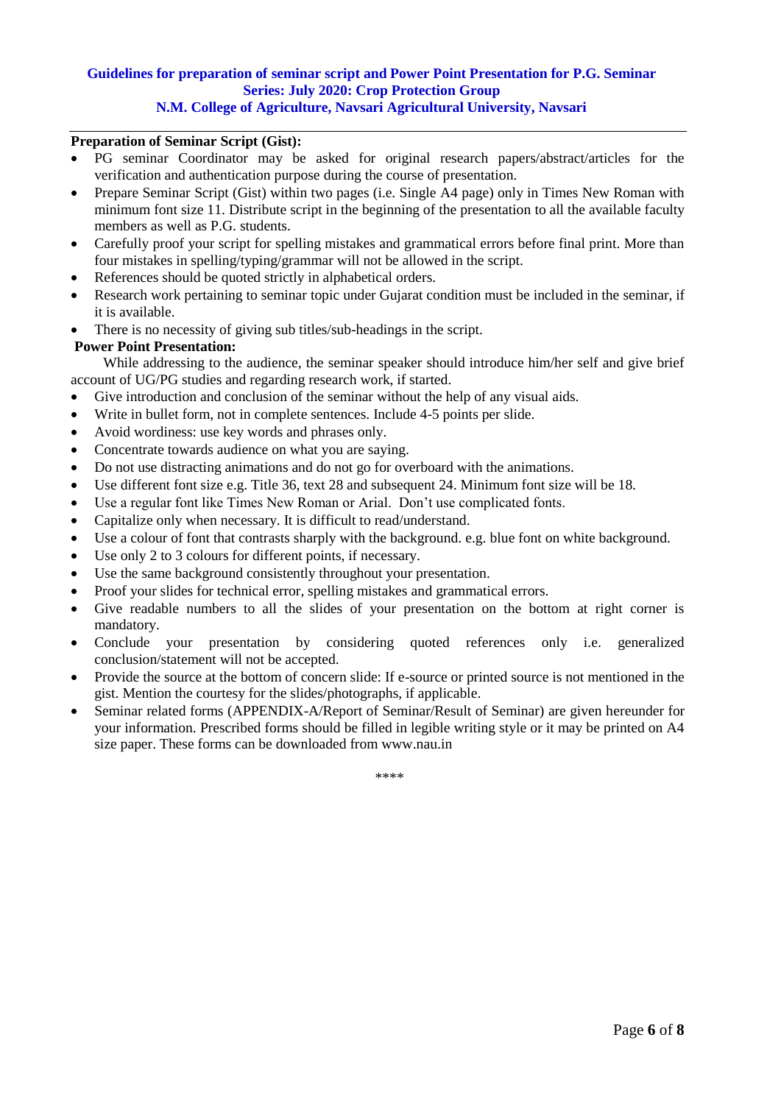#### **Guidelines for preparation of seminar script and Power Point Presentation for P.G. Seminar Series: July 2020: Crop Protection Group N.M. College of Agriculture, Navsari Agricultural University, Navsari**

#### **Preparation of Seminar Script (Gist):**

- PG seminar Coordinator may be asked for original research papers/abstract/articles for the verification and authentication purpose during the course of presentation.
- Prepare Seminar Script (Gist) within two pages (i.e. Single A4 page) only in Times New Roman with minimum font size 11. Distribute script in the beginning of the presentation to all the available faculty members as well as P.G. students.
- Carefully proof your script for spelling mistakes and grammatical errors before final print. More than four mistakes in spelling/typing/grammar will not be allowed in the script.
- References should be quoted strictly in alphabetical orders.
- Research work pertaining to seminar topic under Gujarat condition must be included in the seminar, if it is available.
- There is no necessity of giving sub titles/sub-headings in the script.

#### **Power Point Presentation:**

 While addressing to the audience, the seminar speaker should introduce him/her self and give brief account of UG/PG studies and regarding research work, if started.

- Give introduction and conclusion of the seminar without the help of any visual aids.
- Write in bullet form, not in complete sentences. Include 4-5 points per slide.
- Avoid wordiness: use key words and phrases only.
- Concentrate towards audience on what you are saying.
- Do not use distracting animations and do not go for overboard with the animations.
- Use different font size e.g. Title 36, text 28 and subsequent 24. Minimum font size will be 18.
- Use a regular font like Times New Roman or Arial. Don't use complicated fonts.
- Capitalize only when necessary. It is difficult to read/understand.
- Use a colour of font that contrasts sharply with the background. e.g. blue font on white background.
- Use only 2 to 3 colours for different points, if necessary.
- Use the same background consistently throughout your presentation.
- Proof your slides for technical error, spelling mistakes and grammatical errors.
- Give readable numbers to all the slides of your presentation on the bottom at right corner is mandatory.
- Conclude your presentation by considering quoted references only i.e. generalized conclusion/statement will not be accepted.
- Provide the source at the bottom of concern slide: If e-source or printed source is not mentioned in the gist. Mention the courtesy for the slides/photographs, if applicable.
- Seminar related forms (APPENDIX-A/Report of Seminar/Result of Seminar) are given hereunder for your information. Prescribed forms should be filled in legible writing style or it may be printed on A4 size paper. These forms can be downloaded from www.nau.in

\*\*\*\*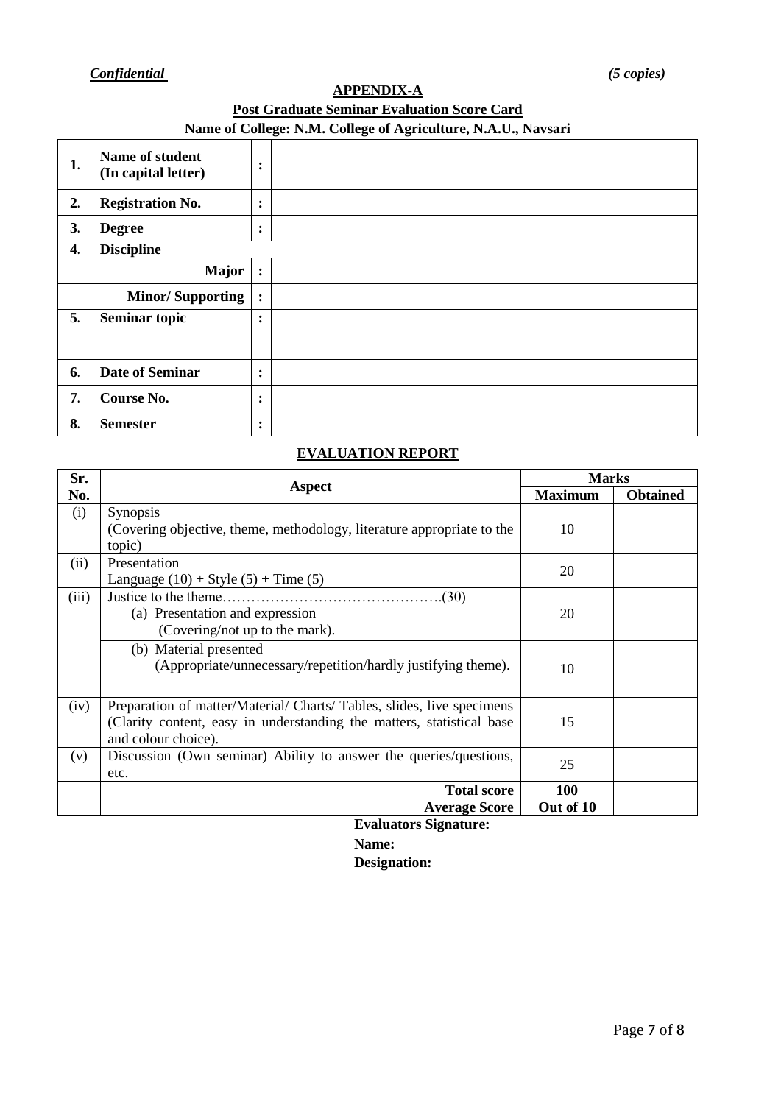# *Confidential**(5 copies)*

# **APPENDIX-A Post Graduate Seminar Evaluation Score Card Name of College: N.M. College of Agriculture, N.A.U., Navsari**

|    | Tunite of Conego, Furth Conego of regrientately Furthern Partonia |                        |  |  |  |  |  |  |
|----|-------------------------------------------------------------------|------------------------|--|--|--|--|--|--|
| 1. | Name of student<br>(In capital letter)                            | $\bullet$<br>$\bullet$ |  |  |  |  |  |  |
| 2. | <b>Registration No.</b>                                           | $\bullet$<br>$\bullet$ |  |  |  |  |  |  |
| 3. | <b>Degree</b>                                                     | $\bullet$<br>$\bullet$ |  |  |  |  |  |  |
| 4. | <b>Discipline</b>                                                 |                        |  |  |  |  |  |  |
|    | <b>Major</b>                                                      | :                      |  |  |  |  |  |  |
|    | <b>Minor/Supporting</b>                                           | $\ddot{\cdot}$         |  |  |  |  |  |  |
| 5. | <b>Seminar topic</b>                                              | $\bullet$<br>$\bullet$ |  |  |  |  |  |  |
| 6. | <b>Date of Seminar</b>                                            | $\ddot{\cdot}$         |  |  |  |  |  |  |
| 7. | Course No.                                                        | $\bullet$<br>$\bullet$ |  |  |  |  |  |  |
| 8. | <b>Semester</b>                                                   | $\bullet$<br>$\bullet$ |  |  |  |  |  |  |

# **EVALUATION REPORT**

| Sr.   |                                                                                                                                                                        | <b>Marks</b>   |                 |  |
|-------|------------------------------------------------------------------------------------------------------------------------------------------------------------------------|----------------|-----------------|--|
| No.   | Aspect                                                                                                                                                                 | <b>Maximum</b> | <b>Obtained</b> |  |
| (i)   | <b>Synopsis</b><br>(Covering objective, theme, methodology, literature appropriate to the<br>topic)                                                                    | 10             |                 |  |
| (ii)  | Presentation<br>Language $(10) +$ Style $(5) +$ Time $(5)$                                                                                                             | 20             |                 |  |
| (iii) | Justice to the theme.<br>.(30)<br>(a) Presentation and expression<br>(Covering/not up to the mark).                                                                    | 20             |                 |  |
|       | (b) Material presented<br>(Appropriate/unnecessary/repetition/hardly justifying theme).                                                                                | 10             |                 |  |
| (iv)  | Preparation of matter/Material/ Charts/ Tables, slides, live specimens<br>(Clarity content, easy in understanding the matters, statistical base<br>and colour choice). | 15             |                 |  |
| (v)   | Discussion (Own seminar) Ability to answer the queries/questions,<br>etc.                                                                                              | 25             |                 |  |
|       | <b>Total score</b>                                                                                                                                                     | 100            |                 |  |
|       | <b>Average Score</b>                                                                                                                                                   | Out of 10      |                 |  |
|       | Evoluctore Cianctures                                                                                                                                                  |                |                 |  |

**Evaluators Signature: Name: Designation:**